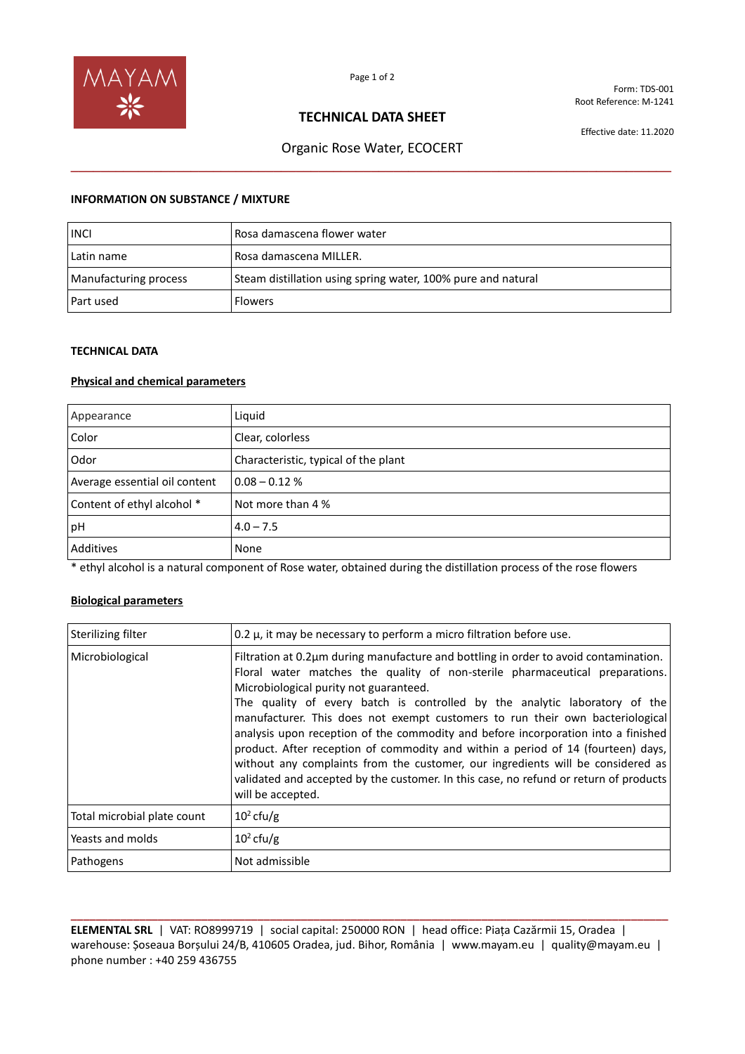

Form: TDS-001 Root Reference: M-1241

## **TECHNICAL DATA SHEET**

Effective date: 11.2020

# Organic Rose Water, ECOCERT **\_\_\_\_\_\_\_\_\_\_\_\_\_\_\_\_\_\_\_\_\_\_\_\_\_\_\_\_\_\_\_\_\_\_\_\_\_\_\_\_\_\_\_\_\_\_\_\_\_\_\_\_\_\_\_\_\_\_\_\_\_\_\_\_\_\_\_\_\_\_\_\_\_\_\_\_\_\_\_\_**

#### **INFORMATION ON SUBSTANCE / MIXTURE**

| <b>INCI</b>           | Rosa damascena flower water                                  |
|-----------------------|--------------------------------------------------------------|
| Latin name            | Rosa damascena MILLER.                                       |
| Manufacturing process | Steam distillation using spring water, 100% pure and natural |
| Part used             | <b>Flowers</b>                                               |

#### **TECHNICAL DATA**

## **Physical and chemical parameters**

| Appearance                    | Liquid                               |
|-------------------------------|--------------------------------------|
| Color                         | Clear, colorless                     |
| Odor                          | Characteristic, typical of the plant |
| Average essential oil content | $0.08 - 0.12%$                       |
| Content of ethyl alcohol *    | Not more than 4 %                    |
| pH                            | $4.0 - 7.5$                          |
| Additives                     | None                                 |

\* ethyl alcohol is a natural component of Rose water, obtained during the distillation process of the rose flowers

### **Biological parameters**

| Sterilizing filter          | 0.2 $\mu$ , it may be necessary to perform a micro filtration before use.                                                                                                                                                                                                                                                                                                                                                                                                                                                                                                                                                                                                                                                                               |
|-----------------------------|---------------------------------------------------------------------------------------------------------------------------------------------------------------------------------------------------------------------------------------------------------------------------------------------------------------------------------------------------------------------------------------------------------------------------------------------------------------------------------------------------------------------------------------------------------------------------------------------------------------------------------------------------------------------------------------------------------------------------------------------------------|
| Microbiological             | Filtration at 0.2µm during manufacture and bottling in order to avoid contamination.<br>Floral water matches the quality of non-sterile pharmaceutical preparations.<br>Microbiological purity not guaranteed.<br>The quality of every batch is controlled by the analytic laboratory of the<br>manufacturer. This does not exempt customers to run their own bacteriological<br>analysis upon reception of the commodity and before incorporation into a finished<br>product. After reception of commodity and within a period of 14 (fourteen) days,<br>without any complaints from the customer, our ingredients will be considered as<br>validated and accepted by the customer. In this case, no refund or return of products<br>will be accepted. |
| Total microbial plate count | $10^2$ cfu/g                                                                                                                                                                                                                                                                                                                                                                                                                                                                                                                                                                                                                                                                                                                                            |
| Yeasts and molds            | $10^2$ cfu/g                                                                                                                                                                                                                                                                                                                                                                                                                                                                                                                                                                                                                                                                                                                                            |
| Pathogens                   | Not admissible                                                                                                                                                                                                                                                                                                                                                                                                                                                                                                                                                                                                                                                                                                                                          |

**\_\_\_\_\_\_\_\_\_\_\_\_\_\_\_\_\_\_\_\_\_\_\_\_\_\_\_\_\_\_\_\_\_\_\_\_\_\_\_\_\_\_\_\_\_\_\_\_\_\_\_\_\_\_\_\_\_\_\_\_\_\_\_\_\_\_\_\_\_\_\_\_\_\_\_\_\_\_\_\_\_\_\_\_\_\_\_\_\_\_\_\_\_\_\_\_ ELEMENTAL SRL** | VAT: RO8999719 | social capital: 250000 RON | head office: Piața Cazărmii 15, Oradea | warehouse: Șoseaua Borșului 24/B, 410605 Oradea, jud. Bihor, România | www.mayam.eu | quality@mayam.eu | phone number : +40 259 436755